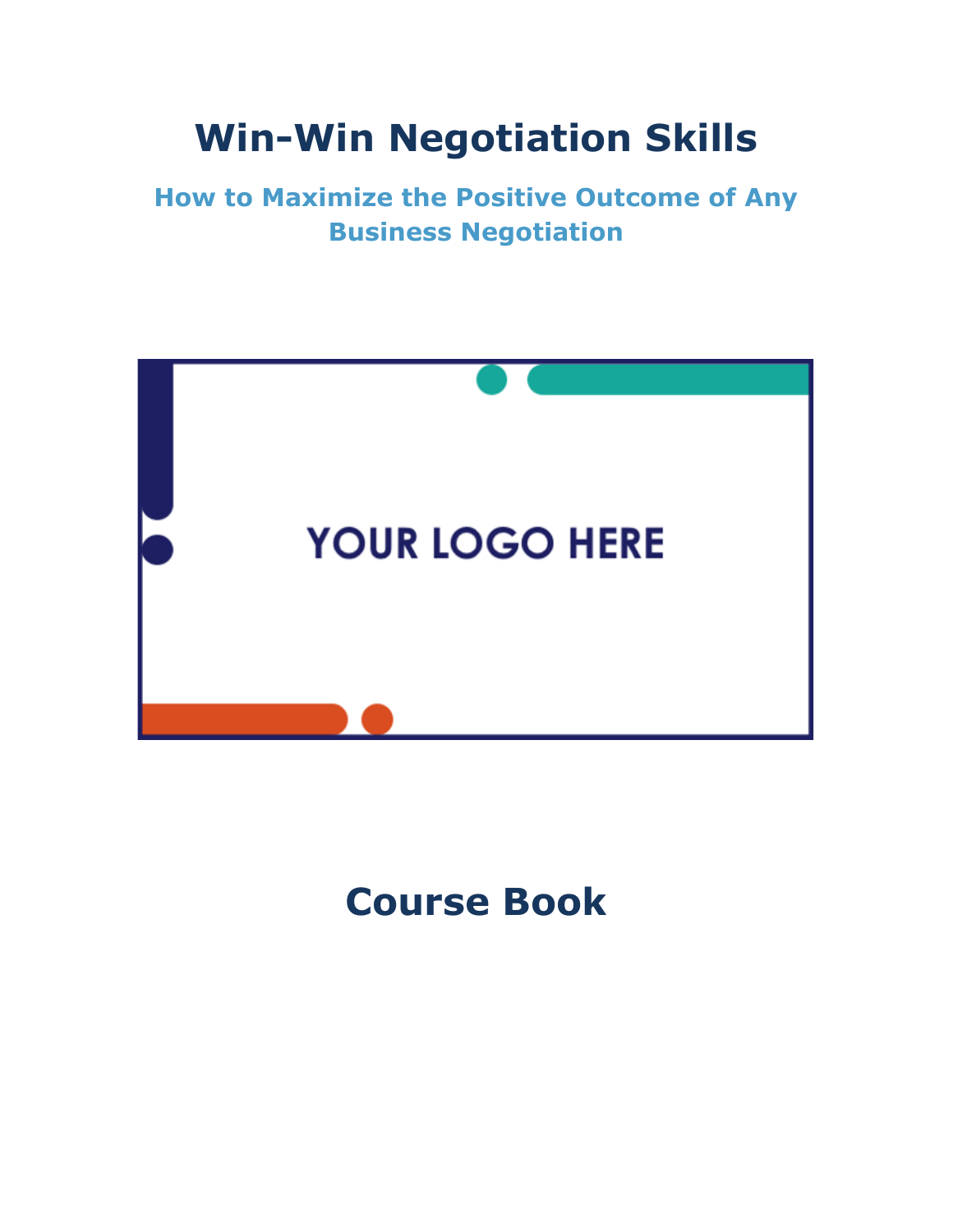## **Win-Win Negotiation Skills**

**How to Maximize the Positive Outcome of Any Business Negotiation**



### **Course Book**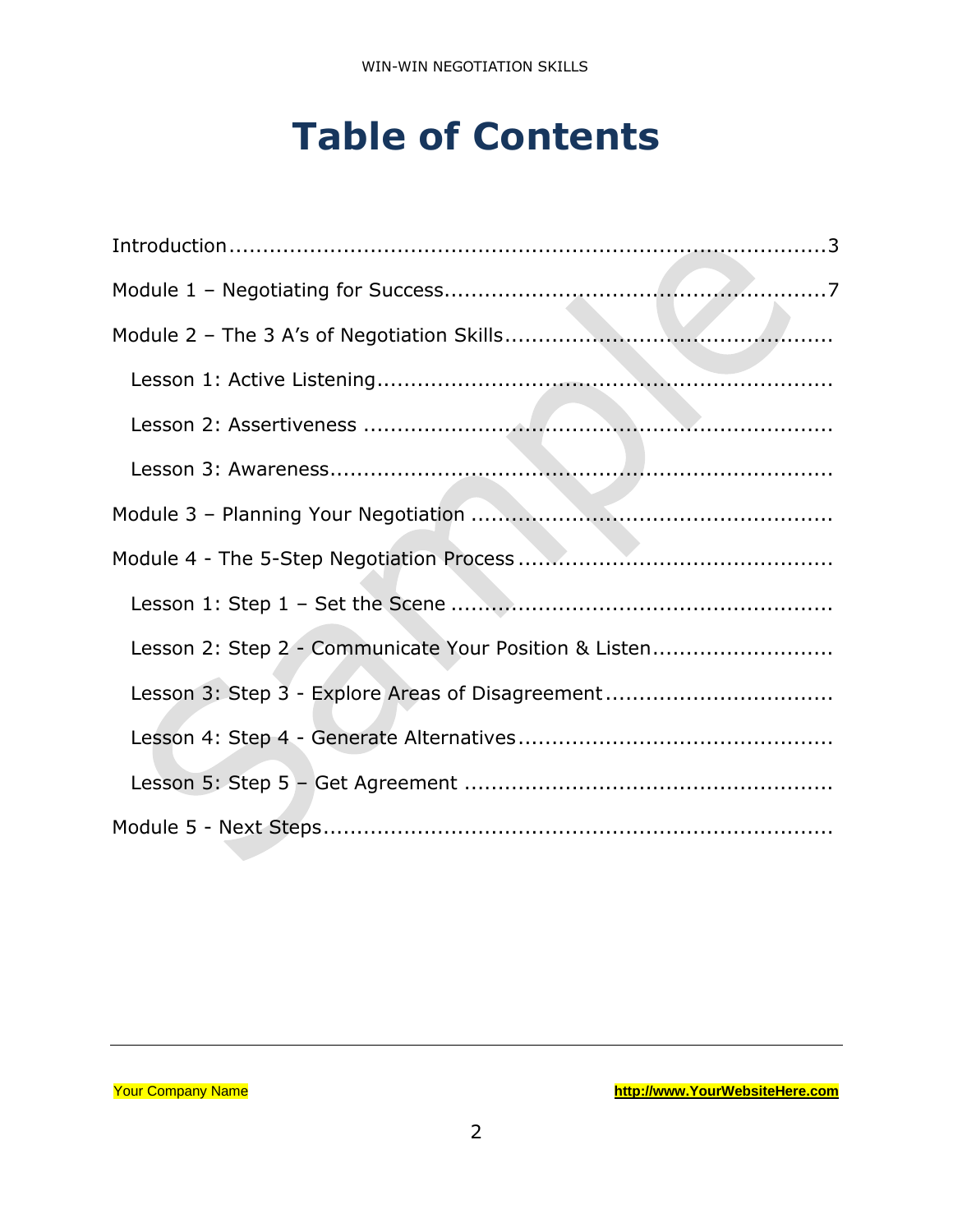### **Table of Contents**

| Lesson 2: Step 2 - Communicate Your Position & Listen |
|-------------------------------------------------------|
| Lesson 3: Step 3 - Explore Areas of Disagreement      |
|                                                       |
|                                                       |
|                                                       |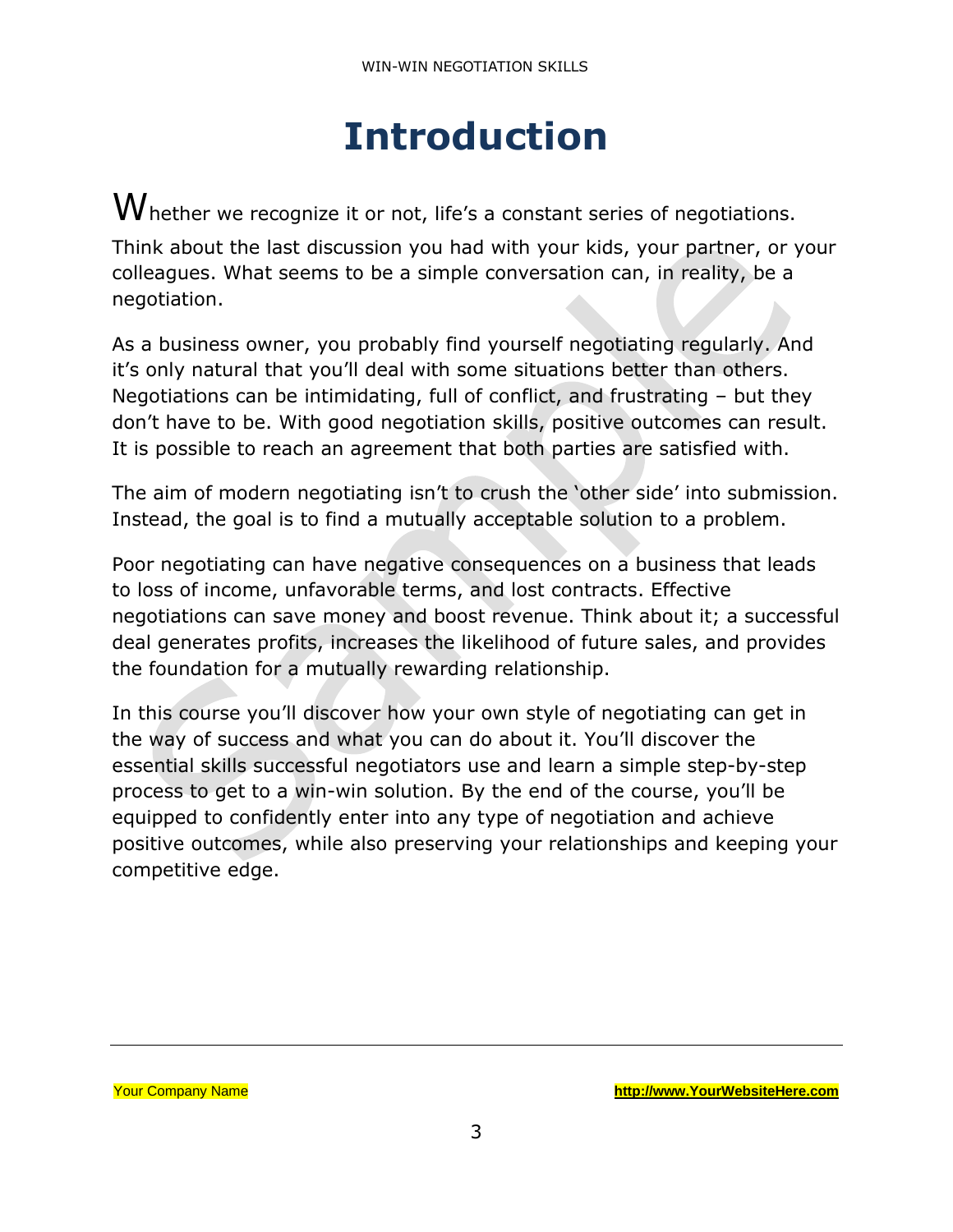### **Introduction**

<span id="page-2-0"></span> $\mathsf W$  hether we recognize it or not, life's a constant series of negotiations. Think about the last discussion you had with your kids, your partner, or your colleagues. What seems to be a simple conversation can, in reality, be a negotiation.

As a business owner, you probably find yourself negotiating regularly. And it's only natural that you'll deal with some situations better than others. Negotiations can be intimidating, full of conflict, and frustrating – but they don't have to be. With good negotiation skills, positive outcomes can result. It is possible to reach an agreement that both parties are satisfied with.

The aim of modern negotiating isn't to crush the 'other side' into submission. Instead, the goal is to find a mutually acceptable solution to a problem.

Poor negotiating can have negative consequences on a business that leads to loss of income, unfavorable terms, and lost contracts. Effective negotiations can save money and boost revenue. Think about it; a successful deal generates profits, increases the likelihood of future sales, and provides the foundation for a mutually rewarding relationship.

In this course you'll discover how your own style of negotiating can get in the way of success and what you can do about it. You'll discover the essential skills successful negotiators use and learn a simple step-by-step process to get to a win-win solution. By the end of the course, you'll be equipped to confidently enter into any type of negotiation and achieve positive outcomes, while also preserving your relationships and keeping your competitive edge.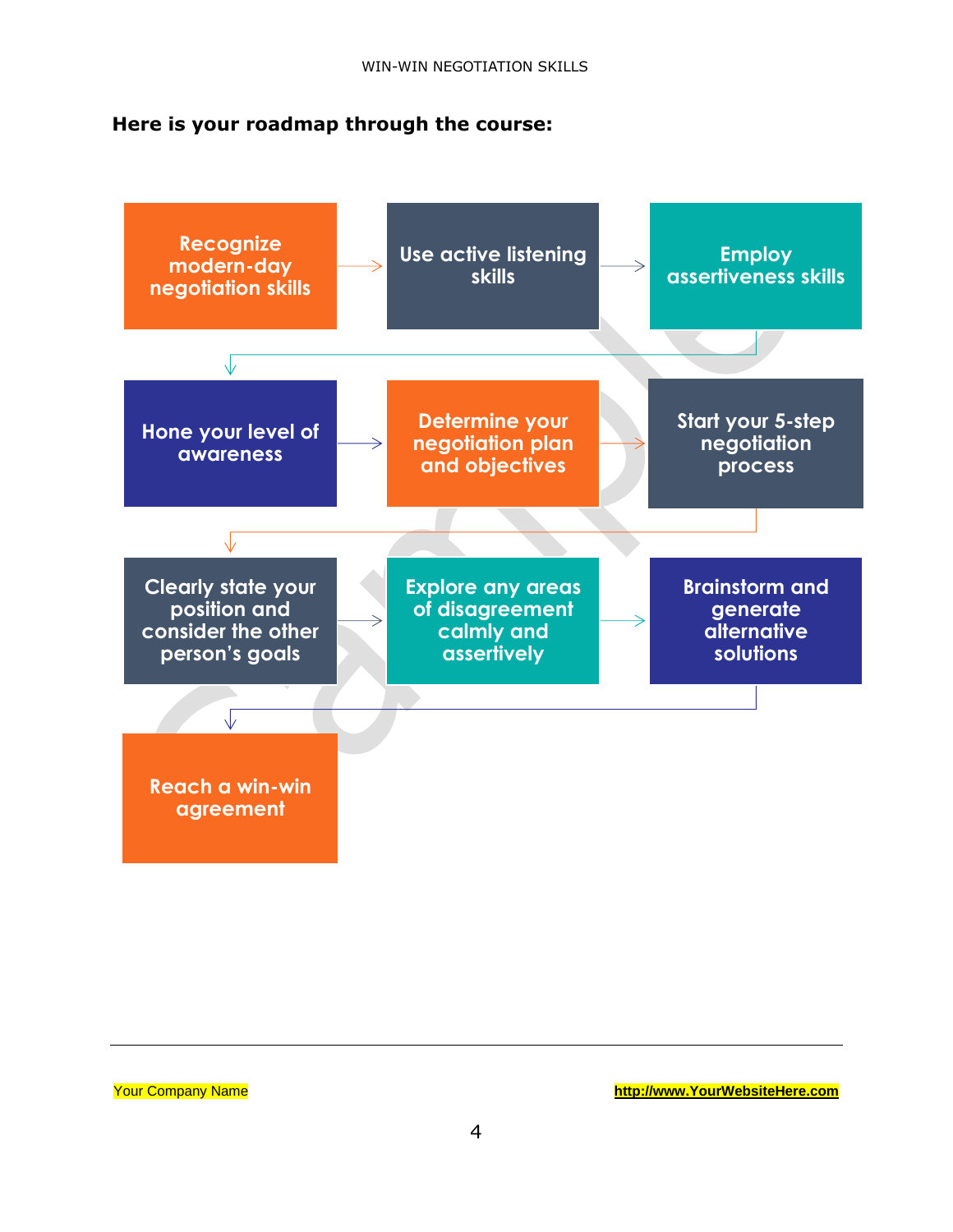#### **Here is your roadmap through the course:**



Your Company Name **[http://www.YourWebsiteHere.com](http://www.yourwebsitehere.com/)**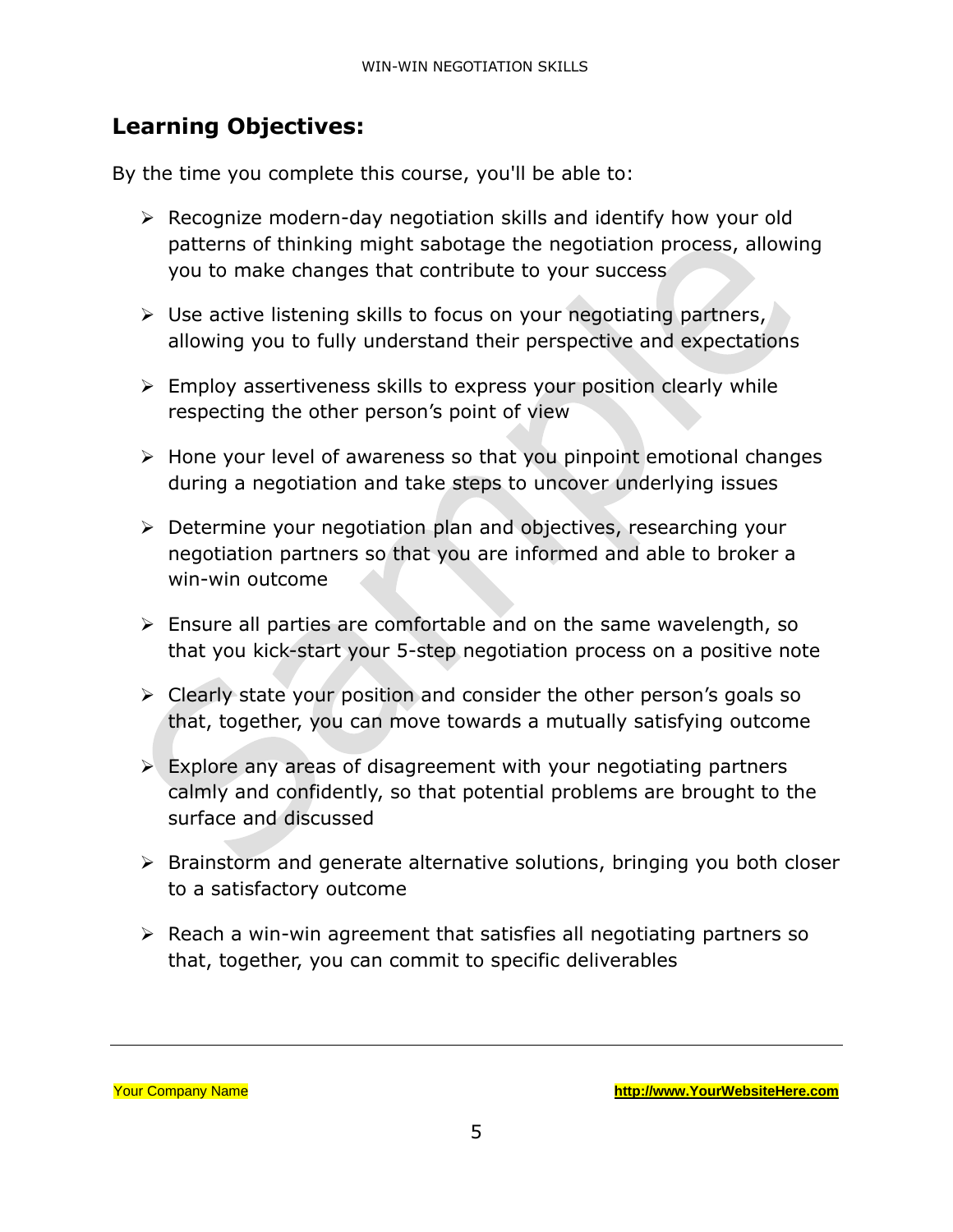#### **Learning Objectives:**

By the time you complete this course, you'll be able to:

- ➢ Recognize modern-day negotiation skills and identify how your old patterns of thinking might sabotage the negotiation process, allowing you to make changes that contribute to your success
- $\triangleright$  Use active listening skills to focus on your negotiating partners, allowing you to fully understand their perspective and expectations
- ➢ Employ assertiveness skills to express your position clearly while respecting the other person's point of view
- ➢ Hone your level of awareness so that you pinpoint emotional changes during a negotiation and take steps to uncover underlying issues
- ➢ Determine your negotiation plan and objectives, researching your negotiation partners so that you are informed and able to broker a win-win outcome
- ➢ Ensure all parties are comfortable and on the same wavelength, so that you kick-start your 5-step negotiation process on a positive note
- ➢ Clearly state your position and consider the other person's goals so that, together, you can move towards a mutually satisfying outcome
- $\triangleright$  Explore any areas of disagreement with your negotiating partners calmly and confidently, so that potential problems are brought to the surface and discussed
- ➢ Brainstorm and generate alternative solutions, bringing you both closer to a satisfactory outcome
- ➢ Reach a win-win agreement that satisfies all negotiating partners so that, together, you can commit to specific deliverables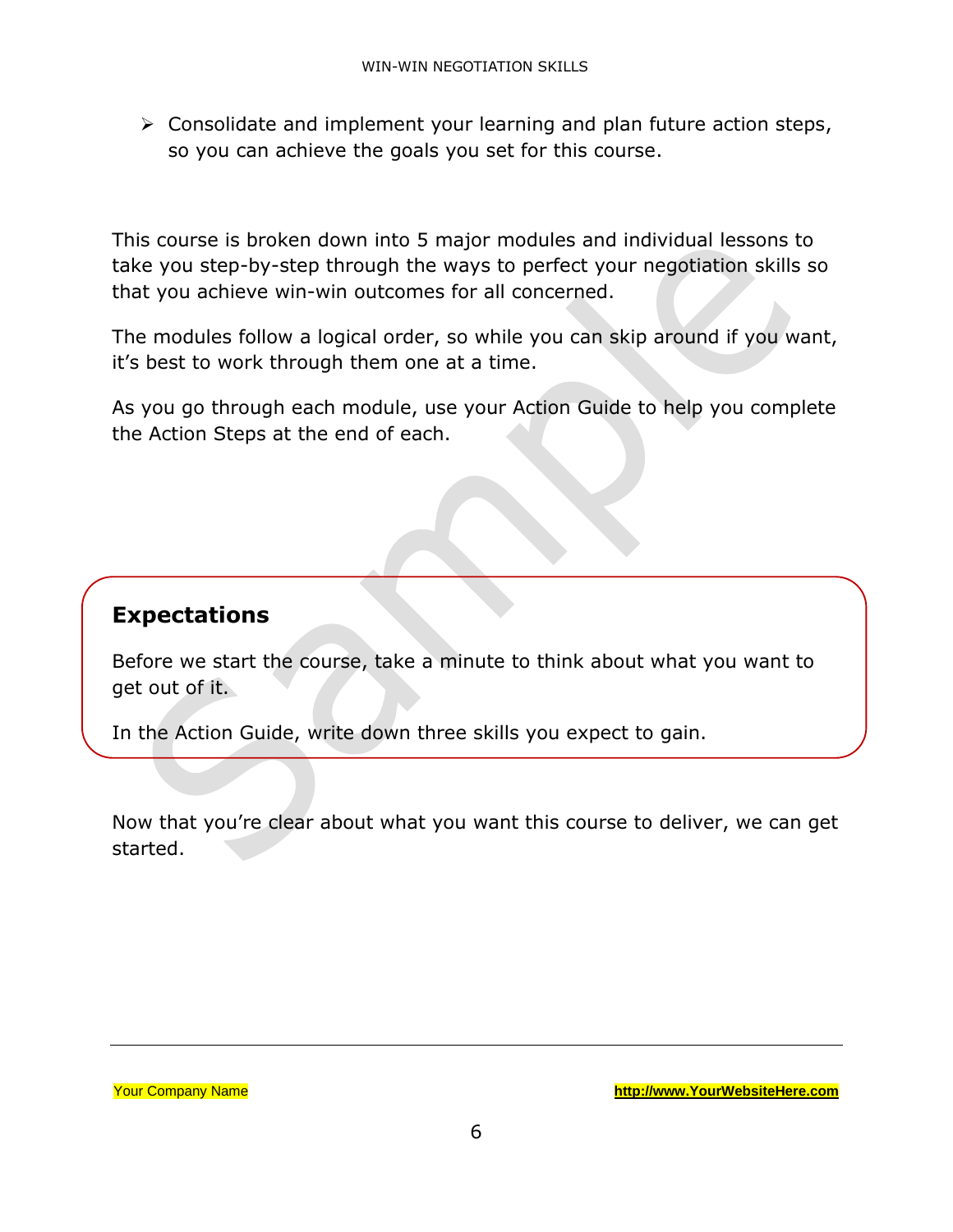➢ Consolidate and implement your learning and plan future action steps, so you can achieve the goals you set for this course.

This course is broken down into 5 major modules and individual lessons to take you step-by-step through the ways to perfect your negotiation skills so that you achieve win-win outcomes for all concerned.

The modules follow a logical order, so while you can skip around if you want, it's best to work through them one at a time.

As you go through each module, use your Action Guide to help you complete the Action Steps at the end of each.

#### **Expectations**

Before we start the course, take a minute to think about what you want to get out of it.

In the Action Guide, write down three skills you expect to gain.

Now that you're clear about what you want this course to deliver, we can get started.

Your Company Name **[http://www.YourWebsiteHere.com](http://www.yourwebsitehere.com/)**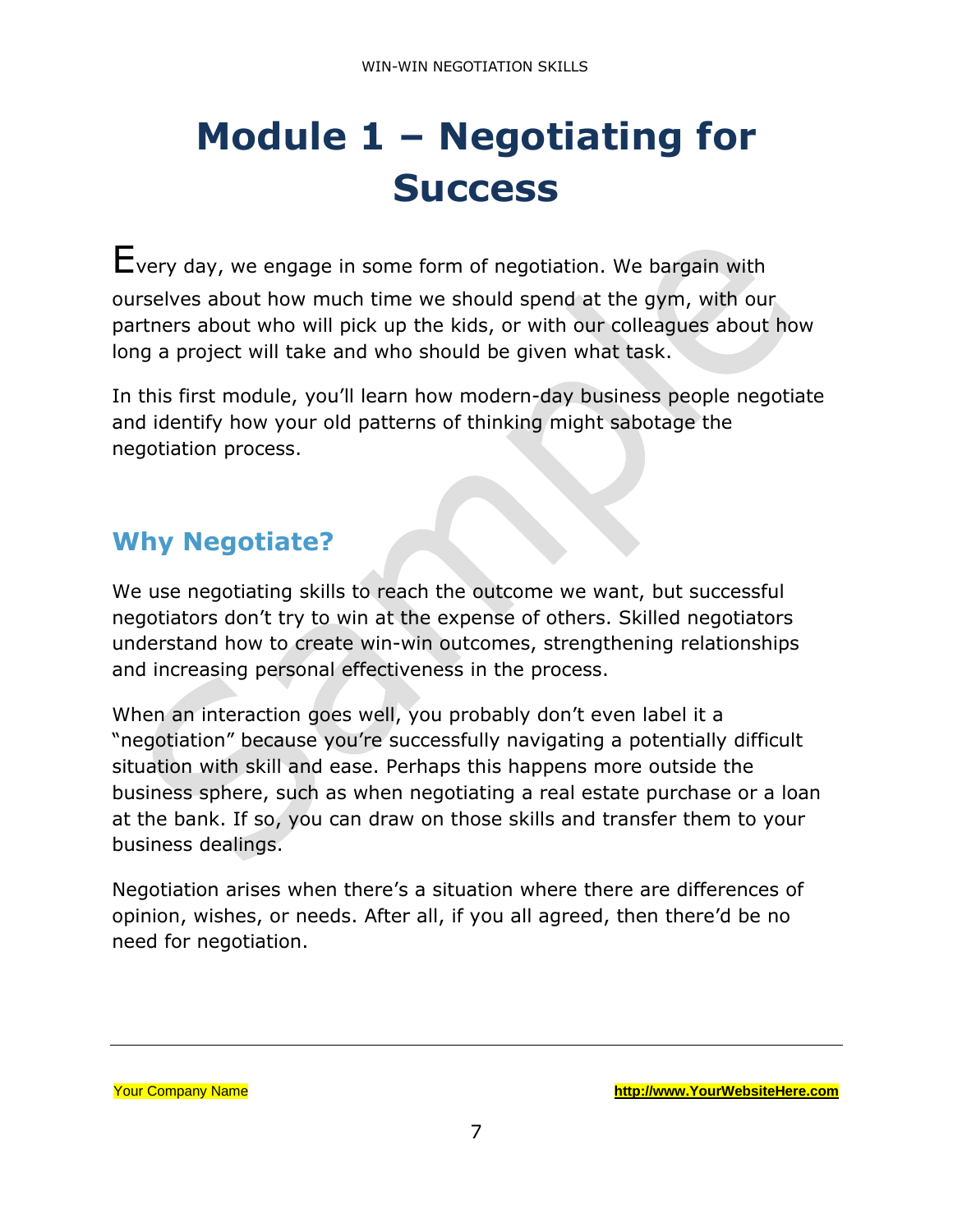# <span id="page-6-0"></span>**Module 1 – Negotiating for Success**

Every day, we engage in some form of negotiation. We bargain with ourselves about how much time we should spend at the gym, with our partners about who will pick up the kids, or with our colleagues about how long a project will take and who should be given what task.

In this first module, you'll learn how modern-day business people negotiate and identify how your old patterns of thinking might sabotage the negotiation process.

#### **Why Negotiate?**

We use negotiating skills to reach the outcome we want, but successful negotiators don't try to win at the expense of others. Skilled negotiators understand how to create win-win outcomes, strengthening relationships and increasing personal effectiveness in the process.

When an interaction goes well, you probably don't even label it a "negotiation" because you're successfully navigating a potentially difficult situation with skill and ease. Perhaps this happens more outside the business sphere, such as when negotiating a real estate purchase or a loan at the bank. If so, you can draw on those skills and transfer them to your business dealings.

Negotiation arises when there's a situation where there are differences of opinion, wishes, or needs. After all, if you all agreed, then there'd be no need for negotiation.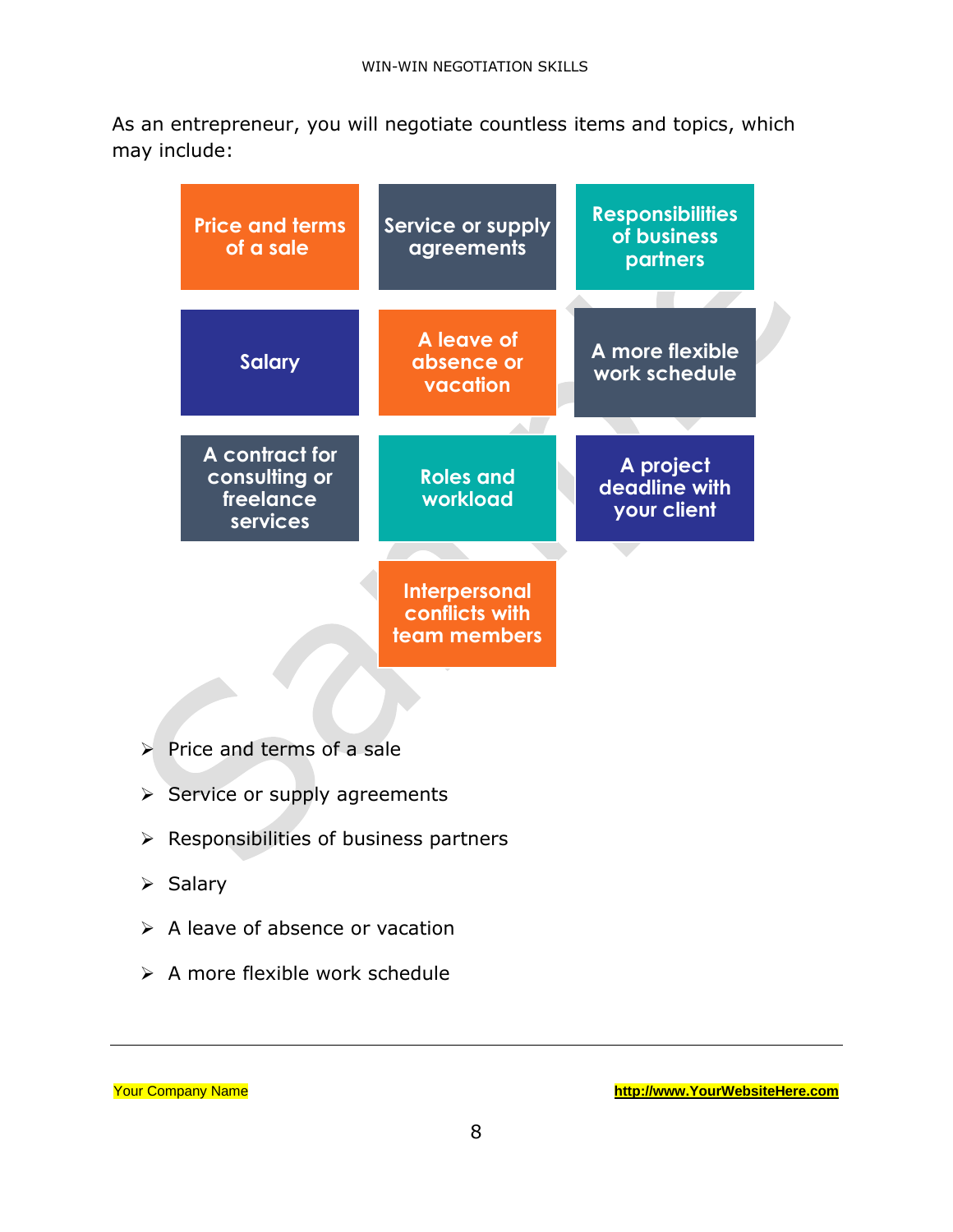As an entrepreneur, you will negotiate countless items and topics, which may include:

| <b>Price and terms</b><br>of a sale                      | Service or supply<br>agreements                        | <b>Responsibilities</b><br>of business<br>partners |
|----------------------------------------------------------|--------------------------------------------------------|----------------------------------------------------|
| <b>Salary</b>                                            | A leave of<br>absence or<br>vacation                   | A more flexible<br>work schedule                   |
| A contract for<br>consulting or<br>freelance<br>services | <b>Roles and</b><br>workload                           | A project<br>deadline with<br>your client          |
|                                                          | <b>Interpersonal</b><br>conflicts with<br>team members |                                                    |

- ➢ Price and terms of a sale
- ➢ Service or supply agreements
- ➢ Responsibilities of business partners
- ➢ Salary
- ➢ A leave of absence or vacation
- ➢ A more flexible work schedule

|  | <b>Your Company Name</b> |  |
|--|--------------------------|--|
|--|--------------------------|--|